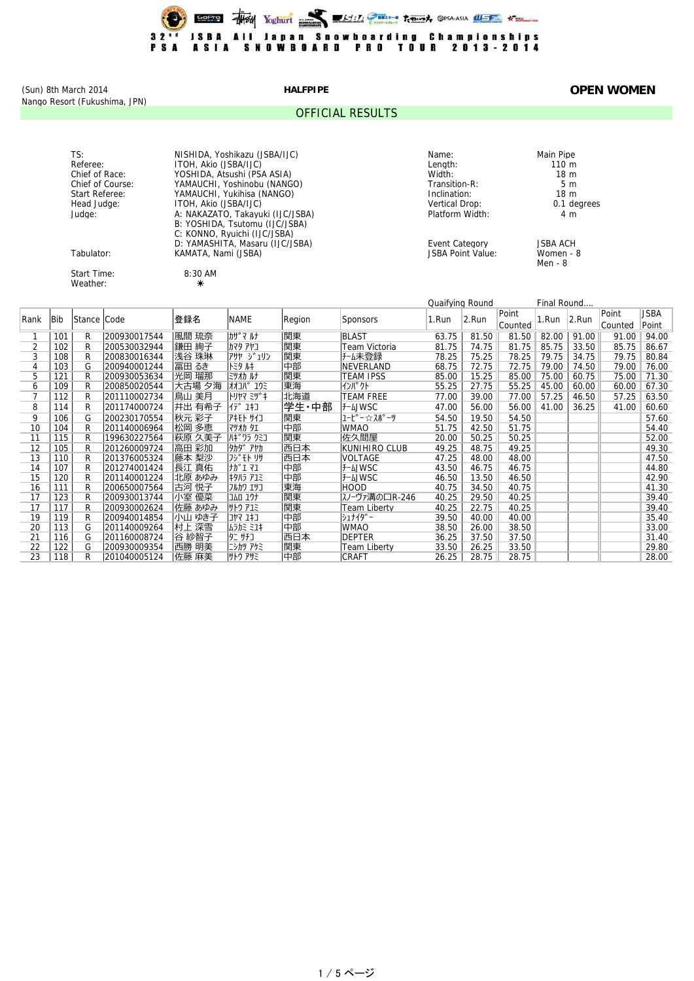

Nango Resort (Fukushima, JPN)

#### OFFICIAL RESULTS

### (Sun) 8th March 2014 **HALFPIPE OPEN WOMEN**

Weather: **☀** 

TS: NISHIDA, Yoshikazu (JSBA/IJC) Name: Main Pipe Referee: ITOH, Akio (JSBA/IJC) Length: 110 m Chief of Race: YOSHIDA, Atsushi (PSA ASIA) Width: 18 m Chief of Course: The MAMAUCHI, Yoshinobu (NANGO) Transition-R: Transition-R: 5 m Start Referee: The Manual Charles (NANGO) and the control of the control of the matter of the matter of the matter of the matter of the matter of the matter of the matter of the matter of the matter of the matter of the ma Head Judge: ITOH, Akio (JSBA/IJC) Vertical Drop: 0.1 degrees Judge: A: NAKAZATO, Takayuki (IJC/JSBA) Platform Width: 4 m B: YOSHIDA, Tsutomu (IJC/JSBA) C: KONNO, Ryuichi (IJC/JSBA) D: YAMASHITA, Masaru (IJC/JSBA) Event Category JSBA ACH Tabulator: KAMATA, Nami (JSBA) JSBA Point Value: Women - 8

Start Time: 8:30 AM

Men - 8

|                | Quaifying Round |             |              |        |                 |        |                     |       | Final Round |         |       |           |         |             |
|----------------|-----------------|-------------|--------------|--------|-----------------|--------|---------------------|-------|-------------|---------|-------|-----------|---------|-------------|
| Rank           | <b>Bib</b>      | Stance Code |              | 登録名    | <b>NAME</b>     | Region | <b>Sponsors</b>     | 1.Run | 2.Run       | Point   | 1.Run | $ 2$ .Run | Point   | <b>JSBA</b> |
|                |                 |             |              |        |                 |        |                     |       |             | Counted |       |           | Counted | Point       |
|                | 101             | R           | 200930017544 | 風間 琉奈  | カザマ ルナ          | 関東     | <b>BLAST</b>        | 63.75 | 81.50       | 81.50   | 82.00 | 91.00     | 91.00   | 94.00       |
| $\overline{2}$ | 102             | R           | 200530032944 | 鎌田 絢子  | カマタ アヤコ         | 関東     | Team Victoria       | 81.75 | 74.75       | 81.75   | 85.75 | 33.50     | 85.75   | 86.67       |
| 3              | 108             | R           | 200830016344 | 浅谷 珠琳  | アサヤ ジュリン        | 関東     | チーム未登録              | 78.25 | 75.25       | 78.25   | 79.75 | 34.75     | 79.75   | 80.84       |
| 4              | 103             | G           | 200940001244 | 冨田 るき  | ドシリトキ           | 中部     | <b>NEVERLAND</b>    | 68.75 | 72.75       | 72.75   | 79.00 | 74.50     | 79.00   | 76.00       |
| 5              | 121             | R           | 200930053634 | 光岡 瑠那  | ミツオカルナ          | 関東     | <b>TEAM IPSS</b>    | 85.00 | 15.25       | 85.00   | 75.00 | 60.75     | 75.00   | 71.30       |
| 6              | 109             | R           | 200850020544 | 大古場 夕海 | オオコバ ユウミ        | 東海     | インパクト               | 55.25 | 27.75       | 55.25   | 45.00 | 60.00     | 60.00   | 67.30       |
| $\overline{7}$ | 112             | R           | 201110002734 | 鳥山 美月  | $MRT \approx 1$ | 北海道    | <b>TEAM FREE</b>    | 77.00 | 39.00       | 77.00   | 57.25 | 46.50     | 57.25   | 63.50       |
| 8              | 114             | R           | 201174000724 | 井出 有希子 | 行 1打            | 学生·中部  | <b>F-LJWSC</b>      | 47.00 | 56.00       | 56.00   | 41.00 | 36.25     | 41.00   | 60.60       |
| 9              | 106             | G           | 200230170554 | 秋元 彩子  | アキモト サイコ        | 関東     | ユーヒ°ー☆スポ°ーツ         | 54.50 | 19.50       | 54.50   |       |           |         | 57.60       |
| 10             | 104             | R           | 201140006964 | 松岡 多恵  | <b>マツオカ タエ</b>  | 中部     | <b>WMAO</b>         | 51.75 | 42.50       | 51.75   |       |           |         | 54.40       |
| 11             | 115             | R           | 199630227564 | 萩原 久美子 | <b>ハギワラ クミコ</b> | 関東     | 佐久間屋                | 20.00 | 50.25       | 50.25   |       |           |         | 52.00       |
| 12             | 105             | R           | 201260009724 | 高田 彩加  | 9カタ゛アヤカ         | 西日本    | KUNIHIRO CLUB       | 49.25 | 48.75       | 49.25   |       |           |         | 49.30       |
| 13             | 110             | R           | 201376005324 | 藤本 梨沙  | フシ モトリサ         | 西日本    | <b>VOLTAGE</b>      | 47.25 | 48.00       | 48.00   |       |           |         | 47.50       |
| 14             | 107             | R           | 201274001424 | 長江 真佑  | ナカ゛I マユ         | 中部     | <b>F-LJWSC</b>      | 43.50 | 46.75       | 46.75   |       |           |         | 44.80       |
| 15             | 120             | R           | 201140001224 | 北原 あゆみ | キタハラ アユミ        | 中部     | <b>J-LJWSC</b>      | 46.50 | 13.50       | 46.50   |       |           |         | 42.90       |
| 16             | 111             | R           | 200650007564 | 古河 悦子  | フルカワ エツコ        | 東海     | <b>HOOD</b>         | 40.75 | 34.50       | 40.75   |       |           |         | 41.30       |
| 17             | 123             | R           | 200930013744 | 小室 優菜  | コムロ ユウナ         | 関東     | スノーヴァ溝の口R-246       | 40.25 | 29.50       | 40.25   |       |           |         | 39.40       |
| 17             | 117             | R           | 200930002624 | 佐藤 あゆみ | サトウ アユミ         | 関東     | <b>Team Liberty</b> | 40.25 | 22.75       | 40.25   |       |           |         | 39.40       |
| 19             | 119             | R           | 200940014854 | 小山 ゆき子 | ב‡ב קיובו       | 中部     | シュナイダ゛ー             | 39.50 | 40.00       | 40.00   |       |           |         | 35.40       |
| 20             | 113             | G           | 201140009264 | 村上 深雪  | ムラカミ ミユキ        | 中部     | <b>WMAO</b>         | 38.50 | 26.00       | 38.50   |       |           |         | 33.00       |
| 21             | 116             | G           | 201160008724 | 谷 紗智子  | タニ サチコ          | 西日本    | <b>DEPTER</b>       | 36.25 | 37.50       | 37.50   |       |           |         | 31.40       |
| 22             | 122             | G           | 200930009354 | 西勝 明美  | ニシカツ アケミ        | 関東     | <b>Team Liberty</b> | 33.50 | 26.25       | 33.50   |       |           |         | 29.80       |
| 23             | 118             | R           | 201040005124 | 佐藤 麻美  | サトウ アサミ         | 中部     | <b>CRAFT</b>        | 26.25 | 28.75       | 28.75   |       |           |         | 28.00       |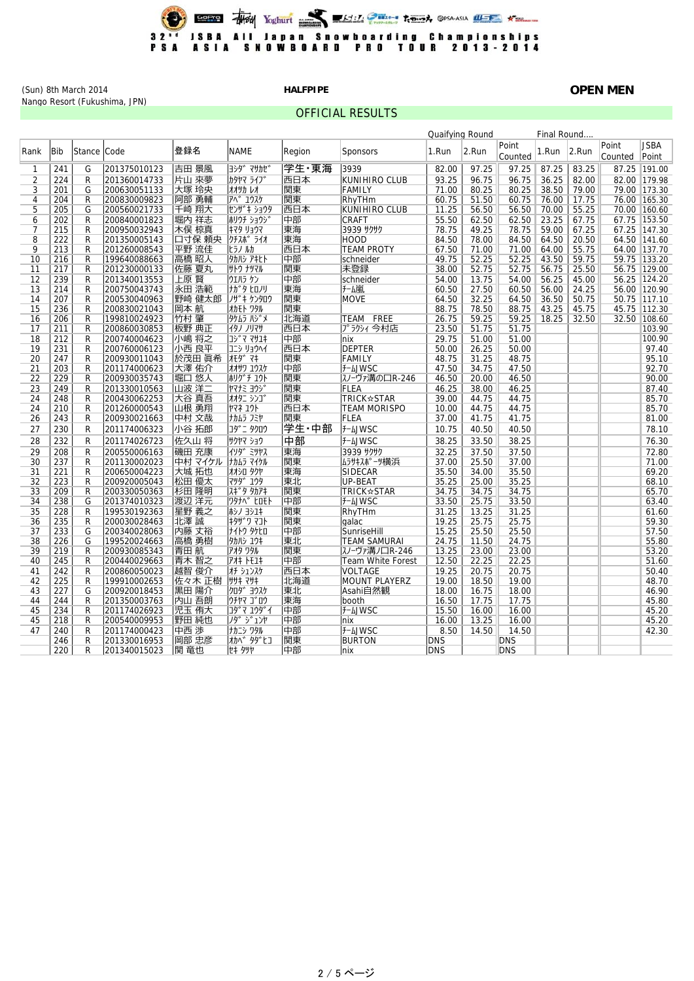

OFFICIAL RESULTS

(Sun) 8th March 2014 **HALFPIPE OPEN MEN** Nango Resort (Fukushima, JPN)

|                | Final Round<br>Quaifying Round |        |              |         |                  |        |                          |       |       |                  |       |          |                  |                      |
|----------------|--------------------------------|--------|--------------|---------|------------------|--------|--------------------------|-------|-------|------------------|-------|----------|------------------|----------------------|
| Rank           | <b>Bib</b>                     | Stance | Code         | 登録名     | <b>NAME</b>      | Region | <b>Sponsors</b>          | 1.Run | 2.Run | Point<br>Counted | 1.Run | $2$ .Run | Point<br>Counted | <b>JSBA</b><br>Point |
| 1              | 241                            | G      | 201375010123 | 吉田 景風   | ヨシタ゛ マサカセ゛       | 学生·東海  | 3939                     | 82.00 | 97.25 | 97.25            | 87.25 | 83.25    |                  | 87.25 191.00         |
| $\overline{2}$ | 224                            | R      | 201360014733 | 片山 來夢   | カタヤマ ライフ゛        | 西日本    | <b>KUNIHIRO CLUB</b>     | 93.25 | 96.75 | 96.75            | 36.25 | 82.00    |                  | 82.00 179.98         |
| 3              | 201                            | G      | 200630051133 | 大塚 玲央   | オオツカレオ           | 関東     | <b>FAMILY</b>            | 71.00 | 80.25 | 80.25            | 38.50 | 79.00    |                  | 79.00 173.30         |
| 4              | 204                            | R      | 200830009823 | 阿部 勇輔   | <b>アヘ゛ユウスケ</b>   | 関東     | RhvTHm                   | 60.75 | 51.50 | 60.75            | 76.00 | 17.75    |                  | 76.00 165.30         |
| 5              | 205                            | G      | 200560021733 | 千崎 翔大   | センザ キ ショウタ       | 西日本    | KUNIHIRO CLUB            | 11.25 | 56.50 | 56.50            | 70.00 | 55.25    |                  | 70.00 160.60         |
| 6              | 202                            | R      | 200840001823 | 堀内 祥志   | 机リチ ショウシ         | 中部     | <b>CRAFT</b>             | 55.50 | 62.50 | 62.50            | 23.25 | 67.75    |                  | 67.75 153.50         |
| 7              | 215                            | R      | 200950032943 | 木俣 椋真   | キマタ リョウマ         | 東海     | 3939 サクサク                | 78.75 | 49.25 | 78.75            | 59.00 | 67.25    |                  | 67.25 147.30         |
| 8              | 222                            | R      | 201350005143 | 口寸保 頼央  | クチスポ ライオ         | 東海     | HOOD                     | 84.50 | 78.00 | 84.50            | 64.50 | 20.50    |                  | 64.50 141.60         |
| 9              | 213                            | R      | 201260008543 | 平野 流佳   | とうノ ルカ           | 西日本    | <b>TEAM PROTY</b>        | 67.50 | 71.00 | 71.00            | 64.00 | 55.75    |                  | 64.00 137.70         |
| 10             | 216                            | R      | 199640088663 | 高橋 昭人   | タカハシ アキヒト        | 中部     | schneider                | 49.75 | 52.25 | 52.25            | 43.50 | 59.75    |                  | 59.75 133.20         |
| 11             | 217                            | R      | 201230000133 | 佐藤 夏丸   | サトウ ナツマル         | 関東     | 未登録                      | 38.00 | 52.75 | 52.75            | 56.75 | 25.50    |                  | 56.75 129.00         |
| 12             | 239                            | R      | 201340013553 | 上原 賢    | ウエハラ ケン          | 中部     | schneider                | 54.00 | 13.75 | 54.00            | 56.25 | 45.00    |                  | 56.25 124.20         |
| 13             | 214                            | R      | 200750043743 | 永田 浩範   | ナガタ ヒロノリ         | 東海     | チーム嵐                     | 60.50 | 27.50 | 60.50            | 56.00 | 24.25    |                  | 56.00 120.90         |
| 14             | 207                            | R      | 200530040963 | 野崎 健太郎  | ノザ キ ケンタロウ       | 関東     | <b>MOVE</b>              | 64.50 | 32.25 | 64.50            | 36.50 | 50.75    |                  | 50.75 117.10         |
| 15             | 236                            | R      | 200830021043 | 岡本 航    | オカモト ワタル         | 関東     |                          | 88.75 | 78.50 | 88.75            | 43.25 | 45.75    |                  | 45.75 112.30         |
| 16             | 206                            | R      | 199810024923 | 竹村 肇    | タケムラ ハジメ         | 北海道    | FREE<br>TEAM             | 26.75 | 59.25 | 59.25            | 18.25 | 32.50    |                  | 32.50 108.60         |
| 17             | 211                            | R      | 200860030853 | 板野 典正   | イタノ ノリマサ         | 西日本    | プラクシィ 今村店                | 23.50 | 51.75 | 51.75            |       |          |                  | 103.90               |
| 18             | 212                            | R      | 200740004623 | 小嶋 将之   | コシ マ マサユキ        | 中部     | nix                      | 29.75 | 51.00 | 51.00            |       |          |                  | 100.90               |
| 19             | 231                            | R      | 200760006123 | 小西 良平   | コニシ リョウヘイ        | 西日本    | <b>DEPTER</b>            | 50.00 | 26.25 | 50.00            |       |          |                  | 97.40                |
| 20             | 247                            | R      | 200930011043 | 於茂田 眞希  | <b>TE9</b> 77    | 関東     | <b>FAMILY</b>            | 48.75 | 31.25 | 48.75            |       |          |                  | 95.10                |
| 21             | 203                            | R      | 201174000623 | 大澤 佑介   | オオサワ ユウスケ        | 中部     | <b>J-LJWSC</b>           | 47.50 | 34.75 | 47.50            |       |          |                  | 92.70                |
| 22             | 229                            | R      | 200930035743 | 堀口 悠人   | ホリゲチ ユウト         | 関東     | スノーヴァ溝の口R-246            | 46.50 | 20.00 | 46.50            |       |          |                  | 90.00                |
| 23             | 249                            | R      | 201330010563 | 山波 洋二   | ヤマナミ ヨウシ゛        | 関東     | <b>FLEA</b>              | 46.25 | 38.00 | 46.25            |       |          |                  | 87.40                |
| 24             | 248                            | R      | 200430062253 | 大谷 真吾   | オオタニ シンコ゛        | 関東     | <b>TRICK☆STAR</b>        | 39.00 | 44.75 | 44.75            |       |          |                  | 85.70                |
| 24             | 210                            | R      | 201260000543 | 山根 勇翔   | <b>ኮマネ ユウト</b>   | 西日本    | <b>TEAM MORISPO</b>      | 10.00 | 44.75 | 44.75            |       |          |                  | 85.70                |
| 26             | 243                            | R      | 200930021663 | 中村 文哉   | ナカムラ フミヤ         | 関東     | <b>FLEA</b>              | 37.00 | 41.75 | 41.75            |       |          |                  | 81.00                |
| 27             | 230                            | R      | 201174006323 | 小谷 拓郎   | <b>コタ゛ニ タクロウ</b> | 学生·中部  | <b>f-LJWSC</b>           | 10.75 | 40.50 | 40.50            |       |          |                  | 78.10                |
| 28             | 232                            | R      | 201174026723 | 佐久山 将   | サクヤマ ショウ         | 中部     | <b>J-LJWSC</b>           | 38.25 | 33.50 | 38.25            |       |          |                  | 76.30                |
| 29             | 208                            | R      | 200550006163 | 磯田 充康   | イソタ゛ミツヤス         | 東海     | 3939 サクサク                | 32.25 | 37.50 | 37.50            |       |          |                  | 72.80                |
| 30             | 237                            | R      | 201130002023 | 中村 マイケル | ナカムラ マイケル        | 関東     | ムラサキスホ°ーツ横浜              | 37.00 | 25.50 | 37.00            |       |          |                  | 71.00                |
| 31             | 221                            | R      | 200650004223 | 大城 拓也   | オオシロ タクヤ         | 東海     | <b>SIDECAR</b>           | 35.50 | 34.00 | 35.50            |       |          |                  | 69.20                |
| 32             | 223                            | R      | 200920005043 | 松田 優太   | <b>7"9" 179</b>  | 東北     | <b>UP-BEAT</b>           | 35.25 | 25.00 | 35.25            |       |          |                  | 68.10                |
| 33             | 209                            | R      | 200330050363 | 杉田 隆明   | <b>スキ タタカアキ</b>  | 関東     | <b>TRICK☆STAR</b>        | 34.75 | 34.75 | 34.75            |       |          |                  | 65.70                |
| 34             | 238                            | G      | 201374010323 | 渡辺 洋元   | ワタナヘ゛ ヒロモト       | 中部     | <b>f-LJWSC</b>           | 33.50 | 25.75 | 33.50            |       |          |                  | 63.40                |
| 35             | 228                            | R      | 199530192363 | 星野 義之   | ホシノ ヨシユキ         | 関東     | RhyTHm                   | 31.25 | 13.25 | 31.25            |       |          |                  | 61.60                |
| 36             | 235                            | R      | 200030028463 | 北澤 誠    | キタザワ マコト         | 関東     | qalac                    | 19.25 | 25.75 | 25.75            |       |          |                  | 59.30                |
| 37             | 233                            | G      | 200340028063 | 内藤 丈裕   | ナイトウ タケヒロ        | 中部     | SunriseHill              | 15.25 | 25.50 | 25.50            |       |          |                  | 57.50                |
| 38             | 226                            | G      | 199520024663 | 高橋 勇樹   | 9カハシ ユウキ         | 東北     | <b>TEAM SAMURAI</b>      | 24.75 | 11.50 | 24.75            |       |          |                  | 55.80                |
| 39             | 219                            | R      | 200930085343 | 青田航     | アオタ ワタル          | 関東     | スノーヴァ溝ノ口R-246            | 13.25 | 23.00 | 23.00            |       |          |                  | 53.20                |
| 40             | 245                            | R      | 200440029663 | 青木 智之   | <b>711 トモユキ</b>  | 中部     | <b>Team White Forest</b> | 12.50 | 22.25 | 22.25            |       |          |                  | 51.60                |
| 41             | 242                            | R      | 200860050023 | 越智 俊介   | オチ シュンスケ         | 西日本    | <b>VOLTAGE</b>           | 19.25 | 20.75 | 20.75            |       |          |                  | 50.40                |
| 42             | 225                            | R      | 199910002653 | 佐々木 正樹  | ササキ マサキ          | 北海道    | <b>MOUNT PLAYERZ</b>     | 19.00 | 18.50 | 19.00            |       |          |                  | 48.70                |
| 43             | 227                            | G      | 200920018453 | 黒田 陽介   | <b>クロタ゛ヨウスケ</b>  | 東北     | Asahi自然観                 | 18.00 | 16.75 | 18.00            |       |          |                  | 46.90                |
| 44             | 244                            | R      | 201350003763 | 内山 吾朗   | ウチヤマ ゴロウ         | 東海     | booth                    | 16.50 | 17.75 | 17.75            |       |          |                  | 45.80                |
| 45             | 234                            | R      | 201174026923 | 児玉 侑大   | ገቃ*  7   1ウダイ    | 中部     | <b>f-LJWSC</b>           | 15.50 | 16.00 | 16.00            |       |          |                  | 45.20                |
| 45             | 218                            | R      | 200540009953 | 野田 純也   | クダ ジュンヤ          | 中部     | nix                      | 16.00 | 13.25 | 16.00            |       |          |                  | 45.20                |
| 47             | 240                            | R      | 201174000423 | 中西 渉    | ナカニシ ワタル         | 中部     | <b>f-LJWSC</b>           | 8.50  | 14.50 | 14.50            |       |          |                  | 42.30                |
|                |                                |        |              |         |                  |        |                          |       |       |                  |       |          |                  |                      |

246| R |201330016953 |岡部 忠彦 |オカベ タダヒコ |関東 |BURTON |DNS | ||DNS 220| R |201340015023 |関 竜也 |セキ タツヤ |中部 |nix |DNS | ||DNS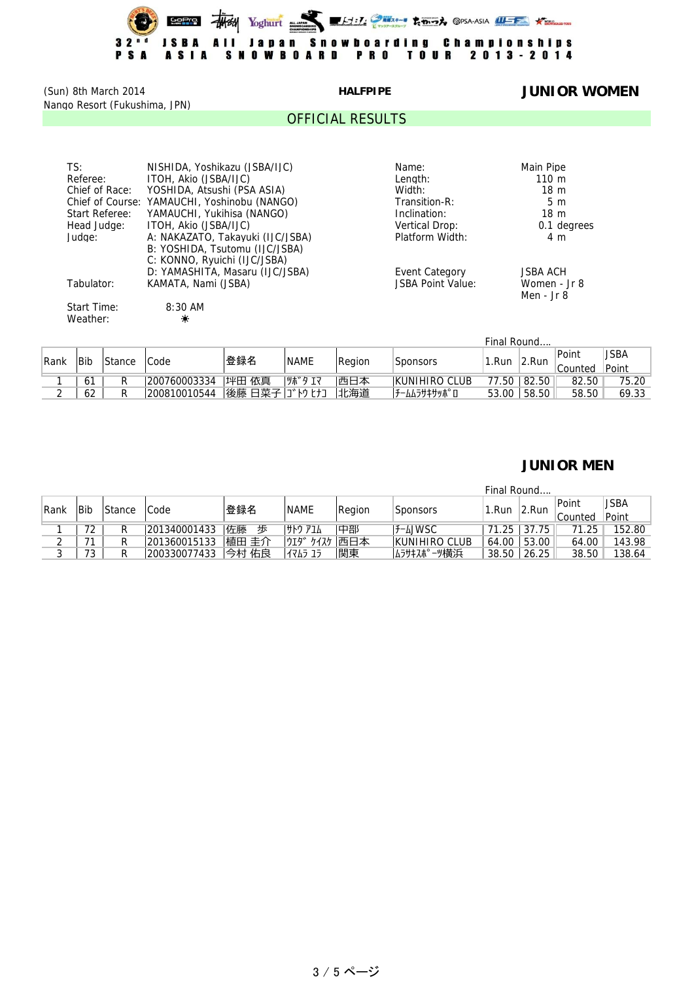

(Sun) 8th March 2014 **HALFPIPE JUNIOR WOMEN** Nango Resort (Fukushima, JPN)

#### OFFICIAL RESULTS

| TS:            | NISHIDA, Yoshikazu (JSBA/IJC)                | Name:             | Main Pipe       |
|----------------|----------------------------------------------|-------------------|-----------------|
| Referee:       | ITOH, Akio (JSBA/IJC)                        | Lenath:           | $110 \text{ m}$ |
| Chief of Race: | YOSHIDA, Atsushi (PSA ASIA)                  | Width:            | 18 <sub>m</sub> |
|                | Chief of Course: YAMAUCHI, Yoshinobu (NANGO) | Transition-R:     | 5 <sub>m</sub>  |
| Start Referee: | YAMAUCHI, Yukihisa (NANGO)                   | Inclination:      | 18 <sub>m</sub> |
| Head Judge:    | ITOH, Akio (JSBA/IJC)                        | Vertical Drop:    | 0.1 degrees     |
| Judge:         | A: NAKAZATO, Takayuki (IJC/JSBA)             | Platform Width:   | 4 m             |
|                | B: YOSHIDA, Tsutomu (IJC/JSBA)               |                   |                 |
|                | C: KONNO, Ryuichi (IJC/JSBA)                 |                   |                 |
|                | D: YAMASHITA, Masaru (IJC/JSBA)              | Event Category    | <b>JSBA ACH</b> |
| Tabulator:     | KAMATA, Nami (JSBA)                          | JSBA Point Value: | Women - Jr 8    |
|                |                                              |                   | Men - Jr 8      |
| Start Time:    | $8:30$ AM                                    |                   |                 |
| Weather:       | $\frac{1}{\sqrt{2}}$                         |                   |                 |
|                |                                              |                   |                 |

|              |    |        |              |                |             |           |                      | Final Round |             |       |       |
|--------------|----|--------|--------------|----------------|-------------|-----------|----------------------|-------------|-------------|-------|-------|
|              |    | Stance | 'Code        | 登録名            | <b>NAME</b> | Region    |                      |             | 2.Run       | Point | JSBA  |
| Bib<br> Rank |    |        |              |                |             | 'Sponsors | 1.Run                |             | Counted     | Point |       |
|              | 61 |        | 200760003334 | 坪田<br>依真       | ツボタ エマ      | 西日本       | <b>KUNIHIRO CLUB</b> |             | 77.50 82.50 | 82.50 | 75.20 |
| $\sim$       | 62 | R      | 200810010544 | 後藤 日菜子 ゴトゥ ヒナコ |             | 北海道       | <b>チームムラサキサッポ ロ</b>  | 53.00       | 58.50       | 58.50 | 69.33 |

## **JUNIOR MEN**

|             |            |        |              |                  |             |        |                      | Final Round |       |         |        |
|-------------|------------|--------|--------------|------------------|-------------|--------|----------------------|-------------|-------|---------|--------|
| <b>Rank</b> | <b>Bib</b> | Stance | 'Code        | <sup>'</sup> 登録名 | <b>NAME</b> | Region | <b>Sponsors</b>      | .Run        | 2.Run | Point   | JSBA   |
|             |            |        |              |                  |             |        |                      |             |       | Counted | Point  |
|             | 72         |        | 201340001433 | 佐藤<br>歩          | サトウ アユム     | 中部     | F-LJWSC              | 71.25       | 37.75 | 71.25   | 152.80 |
|             | 71         |        | 201360015133 | 植田 圭介            | ウエダ ケイスケ    | 西日本    | <b>KUNIHIRO CLUB</b> | 64.00       | 53.00 | 64.00   | 143.98 |
|             | 73         |        | 200330077433 | 今村 佑良            | 11745 15    | 関東     | ムラサキスポ ーツ横浜          | 38.50       | 26.25 | 38.50   | 138.64 |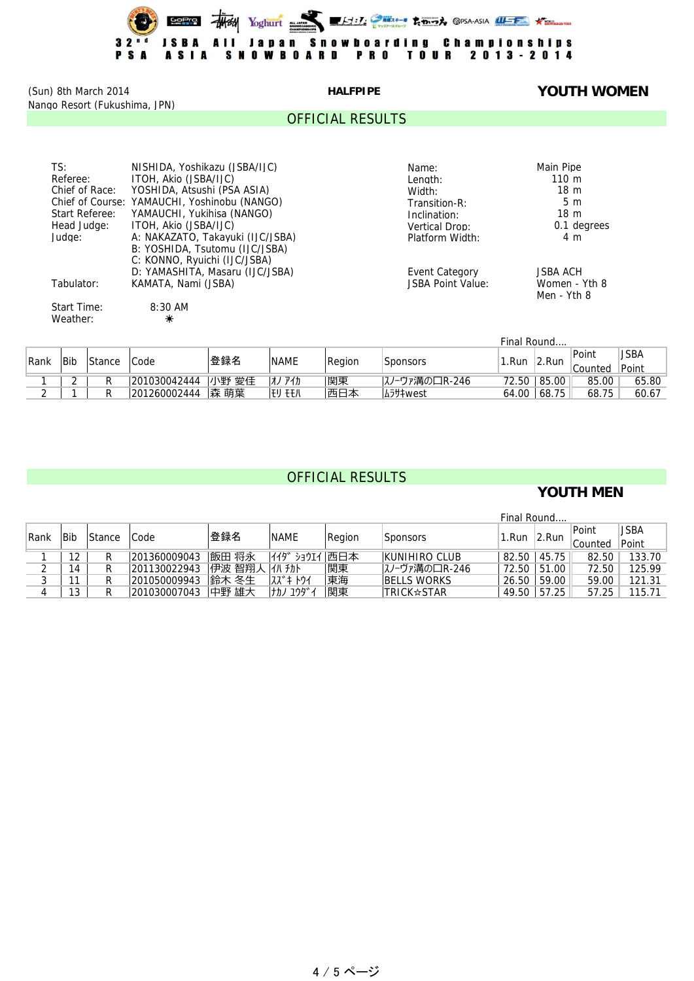(Sun) 8th March 2014 **HALFPIPE YOUTH WOMEN** Nango Resort (Fukushima, JPN)

### OFFICIAL RESULTS

| TS:            | NISHIDA, Yoshikazu (JSBA/IJC)                | Name:                    | Main Pipe       |
|----------------|----------------------------------------------|--------------------------|-----------------|
| Referee:       | ITOH, Akio (JSBA/IJC)                        | Lenath:                  | $110 \text{ m}$ |
| Chief of Race: | YOSHIDA, Atsushi (PSA ASIA)                  | Width:                   | 18 <sub>m</sub> |
|                | Chief of Course: YAMAUCHI, Yoshinobu (NANGO) | Transition-R:            | 5 <sub>m</sub>  |
| Start Referee: | YAMAUCHI, Yukihisa (NANGO)                   | Inclination:             | 18 <sub>m</sub> |
| Head Judge:    | ITOH, Akio (JSBA/IJC)                        | Vertical Drop:           | 0.1 degrees     |
| Judge:         | A: NAKAZATO, Takayuki (IJC/JSBA)             | Platform Width:          | 4 m             |
|                | B: YOSHIDA, Tsutomu (IJC/JSBA)               |                          |                 |
|                | C: KONNO, Ryuichi (IJC/JSBA)                 |                          |                 |
|                | D: YAMASHITA, Masaru (IJC/JSBA)              | Event Category           | <b>JSBA ACH</b> |
| Tabulator:     | KAMATA, Nami (JSBA)                          | <b>JSBA Point Value:</b> | Women - Yth 8   |
|                |                                              |                          | Men - Yth 8     |
| Start Time:    | $8:30$ AM                                    |                          |                 |
| Weather:       | $\frac{1}{\sqrt{2}}$                         |                          |                 |
|                |                                              |                          |                 |

|      |     |        |              |       |             |        |                 | Final Round |        |         |       |
|------|-----|--------|--------------|-------|-------------|--------|-----------------|-------------|--------|---------|-------|
| Rank | Bit | Stance |              | 登録名   | <b>NAME</b> |        |                 | .Run        |        | Point   | JSBA  |
|      |     |        | Code         |       |             | Region | <b>Sponsors</b> |             | !2.Run | Counted | Point |
|      |     |        | 201030042444 | 小野 愛佳 | 飞力<br>7 J   | 関東     | スノーヴァ溝の口R-246   | 72.50       | 85.00  | 85.00   | 65.80 |
|      |     |        | 201260002444 | Ⅰ森 萌葉 | eu een      | 西日本    | <b>A5サキwest</b> | 64.00       | 68.75  | 68.75   | 60.67 |

# OFFICIAL RESULTS

## **YOUTH MEN**

|               |     |        |              |        |               |        |                     | Final Round |       |         |        |
|---------------|-----|--------|--------------|--------|---------------|--------|---------------------|-------------|-------|---------|--------|
| <b>Rank</b>   | Bib | Stance | Code         | 登録名    | <b>NAME</b>   | Region | <b>Sponsors</b>     | 1.Run       | 2.Run | Point   | JSBA   |
|               |     |        |              |        |               |        |                     |             |       | Counted | Point  |
|               | 12  |        | 201360009043 | 飯田 将永  | イイダ ショウエイ 西日本 |        | KUNIHIRO CLUB       | 82.50       | 45.75 | 82.50   | 133.70 |
| ◠<br><u>_</u> | 14  |        | 201130022943 | 伊波 智翔人 | イハチカト         | 関東     | スノーヴァ溝の口R-246       | 72.50       | 51.00 | 72.50   | 125.99 |
| ົ<br>رب       |     |        | 201050009943 | 鈴木 冬生  |               | 東海     | <b>IBELLS WORKS</b> | 26.50       | 59.00 | 59.00   | 121.31 |
| 4             | 13  |        | 201030007043 | 中野 雄大  | けカノ ユウダ゛イ     | 関東     | <b>TRICK☆STAR</b>   | 49.50       | 57.25 | 57.25   | 115.71 |